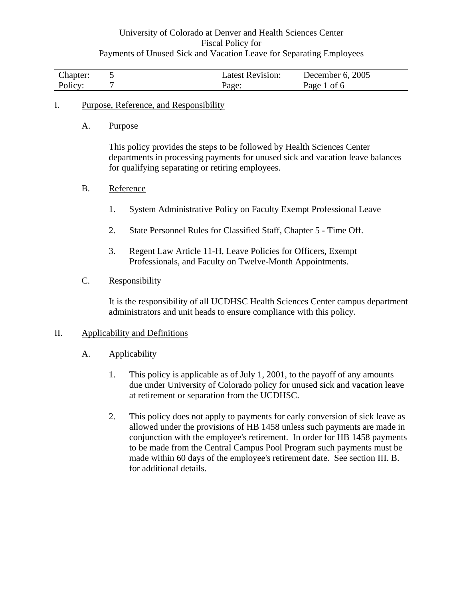| Chapter: | Latest Revision: | December $6, 2005$ |
|----------|------------------|--------------------|
| Policy:  | Page:            | Page 1 of 6        |

### I. Purpose, Reference, and Responsibility

A. Purpose

This policy provides the steps to be followed by Health Sciences Center departments in processing payments for unused sick and vacation leave balances for qualifying separating or retiring employees.

### B. Reference

- 1. System Administrative Policy on Faculty Exempt Professional Leave
- 2. State Personnel Rules for Classified Staff, Chapter 5 Time Off.
- 3. Regent Law Article 11-H, Leave Policies for Officers, Exempt Professionals, and Faculty on Twelve-Month Appointments.

### C. Responsibility

It is the responsibility of all UCDHSC Health Sciences Center campus department administrators and unit heads to ensure compliance with this policy.

### II. Applicability and Definitions

- A. Applicability
	- 1. This policy is applicable as of July 1, 2001, to the payoff of any amounts due under University of Colorado policy for unused sick and vacation leave at retirement or separation from the UCDHSC.
	- 2. This policy does not apply to payments for early conversion of sick leave as allowed under the provisions of HB 1458 unless such payments are made in conjunction with the employee's retirement. In order for HB 1458 payments to be made from the Central Campus Pool Program such payments must be made within 60 days of the employee's retirement date. See section III. B. for additional details.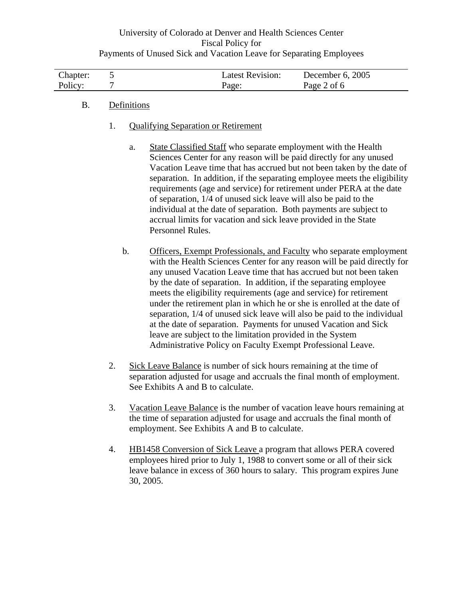| Chapter: | Latest Revision: | December 6, 2005 |
|----------|------------------|------------------|
| Policy:  | Page:            | Page 2 of 6      |

### B. Definitions

- 1. Qualifying Separation or Retirement
	- a. State Classified Staff who separate employment with the Health Sciences Center for any reason will be paid directly for any unused Vacation Leave time that has accrued but not been taken by the date of separation. In addition, if the separating employee meets the eligibility requirements (age and service) for retirement under PERA at the date of separation, 1/4 of unused sick leave will also be paid to the individual at the date of separation. Both payments are subject to accrual limits for vacation and sick leave provided in the State Personnel Rules.
	- b. Officers, Exempt Professionals, and Faculty who separate employment with the Health Sciences Center for any reason will be paid directly for any unused Vacation Leave time that has accrued but not been taken by the date of separation. In addition, if the separating employee meets the eligibility requirements (age and service) for retirement under the retirement plan in which he or she is enrolled at the date of separation, 1/4 of unused sick leave will also be paid to the individual at the date of separation. Payments for unused Vacation and Sick leave are subject to the limitation provided in the System Administrative Policy on Faculty Exempt Professional Leave.
- 2. Sick Leave Balance is number of sick hours remaining at the time of separation adjusted for usage and accruals the final month of employment. See Exhibits A and B to calculate.
- 3. Vacation Leave Balance is the number of vacation leave hours remaining at the time of separation adjusted for usage and accruals the final month of employment. See Exhibits A and B to calculate.
- 4. HB1458 Conversion of Sick Leave a program that allows PERA covered employees hired prior to July 1, 1988 to convert some or all of their sick leave balance in excess of 360 hours to salary. This program expires June 30, 2005.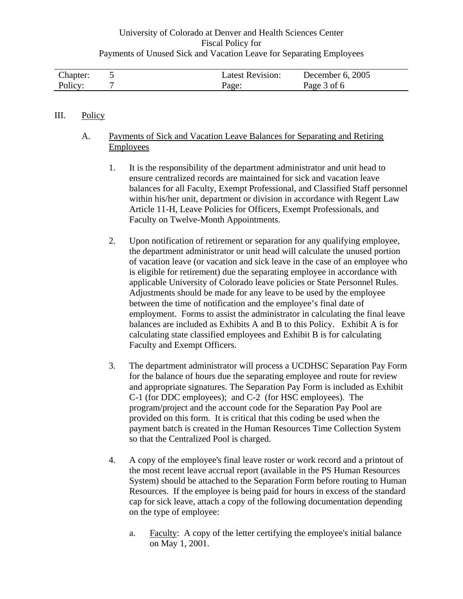| Chapter: | Latest Revision: | December 6, 2005 |
|----------|------------------|------------------|
| Policy:  | Page:            | Page 3 of 6      |

### III. Policy

### A. Payments of Sick and Vacation Leave Balances for Separating and Retiring Employees

- 1. It is the responsibility of the department administrator and unit head to ensure centralized records are maintained for sick and vacation leave balances for all Faculty, Exempt Professional, and Classified Staff personnel within his/her unit, department or division in accordance with Regent Law Article 11-H, Leave Policies for Officers, Exempt Professionals, and Faculty on Twelve-Month Appointments.
- 2. Upon notification of retirement or separation for any qualifying employee, the department administrator or unit head will calculate the unused portion of vacation leave (or vacation and sick leave in the case of an employee who is eligible for retirement) due the separating employee in accordance with applicable University of Colorado leave policies or State Personnel Rules. Adjustments should be made for any leave to be used by the employee between the time of notification and the employee's final date of employment. Forms to assist the administrator in calculating the final leave balances are included as Exhibits A and B to this Policy. Exhibit A is for calculating state classified employees and Exhibit B is for calculating Faculty and Exempt Officers.
- 3. The department administrator will process a UCDHSC Separation Pay Form for the balance of hours due the separating employee and route for review and appropriate signatures. The Separation Pay Form is included as Exhibit C-1 (for DDC employees); and C-2 (for HSC employees). The program/project and the account code for the Separation Pay Pool are provided on this form. It is critical that this coding be used when the payment batch is created in the Human Resources Time Collection System so that the Centralized Pool is charged.
- 4. A copy of the employee's final leave roster or work record and a printout of the most recent leave accrual report (available in the PS Human Resources System) should be attached to the Separation Form before routing to Human Resources. If the employee is being paid for hours in excess of the standard cap for sick leave, attach a copy of the following documentation depending on the type of employee:
	- a. Faculty: A copy of the letter certifying the employee's initial balance on May 1, 2001.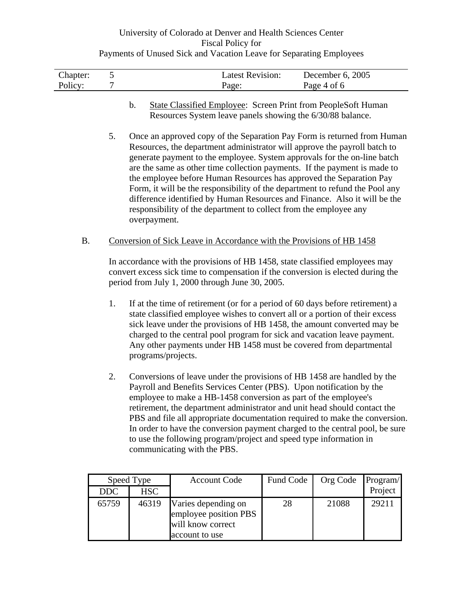| Chapter: | <b>Latest Revision:</b> | December 6, 2005 |
|----------|-------------------------|------------------|
| Policy:  | Page:                   | Page 4 of 6      |

- b. State Classified Employee: Screen Print from PeopleSoft Human Resources System leave panels showing the 6/30/88 balance.
- 5. Once an approved copy of the Separation Pay Form is returned from Human Resources, the department administrator will approve the payroll batch to generate payment to the employee. System approvals for the on-line batch are the same as other time collection payments. If the payment is made to the employee before Human Resources has approved the Separation Pay Form, it will be the responsibility of the department to refund the Pool any difference identified by Human Resources and Finance. Also it will be the responsibility of the department to collect from the employee any overpayment.

### B. Conversion of Sick Leave in Accordance with the Provisions of HB 1458

In accordance with the provisions of HB 1458, state classified employees may convert excess sick time to compensation if the conversion is elected during the period from July 1, 2000 through June 30, 2005.

- 1. If at the time of retirement (or for a period of 60 days before retirement) a state classified employee wishes to convert all or a portion of their excess sick leave under the provisions of HB 1458, the amount converted may be charged to the central pool program for sick and vacation leave payment. Any other payments under HB 1458 must be covered from departmental programs/projects.
- 2. Conversions of leave under the provisions of HB 1458 are handled by the Payroll and Benefits Services Center (PBS). Upon notification by the employee to make a HB-1458 conversion as part of the employee's retirement, the department administrator and unit head should contact the PBS and file all appropriate documentation required to make the conversion. In order to have the conversion payment charged to the central pool, be sure to use the following program/project and speed type information in communicating with the PBS.

|            | Speed Type | <b>Account Code</b>                                                                 | Fund Code | Org Code | Program/ |
|------------|------------|-------------------------------------------------------------------------------------|-----------|----------|----------|
| <b>DDC</b> | <b>HSC</b> |                                                                                     |           |          | Project  |
| 65759      | 46319      | Varies depending on<br>employee position PBS<br>will know correct<br>account to use | 28        | 21088    | 29211    |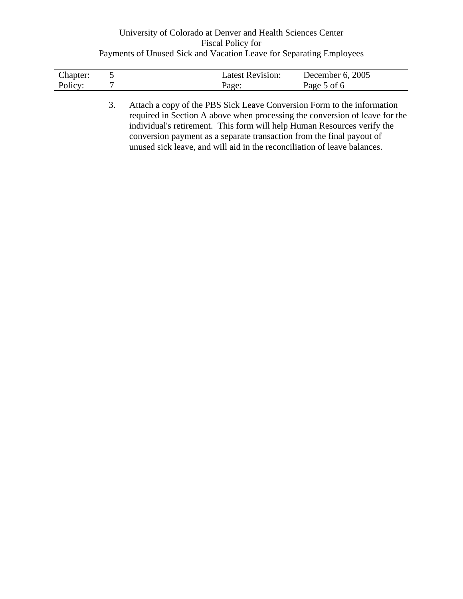| Chapter: | <b>Latest Revision:</b> | December 6, 2005 |
|----------|-------------------------|------------------|
| Policy:  | Page:                   | Page 5 of 6      |

3. Attach a copy of the PBS Sick Leave Conversion Form to the information required in Section A above when processing the conversion of leave for the individual's retirement. This form will help Human Resources verify the conversion payment as a separate transaction from the final payout of unused sick leave, and will aid in the reconciliation of leave balances.